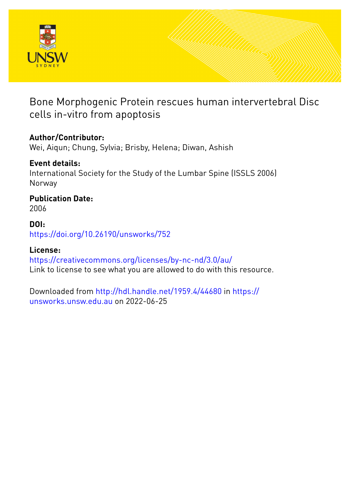

Bone Morphogenic Protein rescues human intervertebral Disc cells in-vitro from apoptosis

# **Author/Contributor:**

Wei, Aiqun; Chung, Sylvia; Brisby, Helena; Diwan, Ashish

# **Event details:**

International Society for the Study of the Lumbar Spine (ISSLS 2006) Norway

# **Publication Date:**

2006

### **DOI:**

[https://doi.org/10.26190/unsworks/752](http://dx.doi.org/https://doi.org/10.26190/unsworks/752)

# **License:**

<https://creativecommons.org/licenses/by-nc-nd/3.0/au/> Link to license to see what you are allowed to do with this resource.

Downloaded from <http://hdl.handle.net/1959.4/44680> in [https://](https://unsworks.unsw.edu.au) [unsworks.unsw.edu.au](https://unsworks.unsw.edu.au) on 2022-06-25